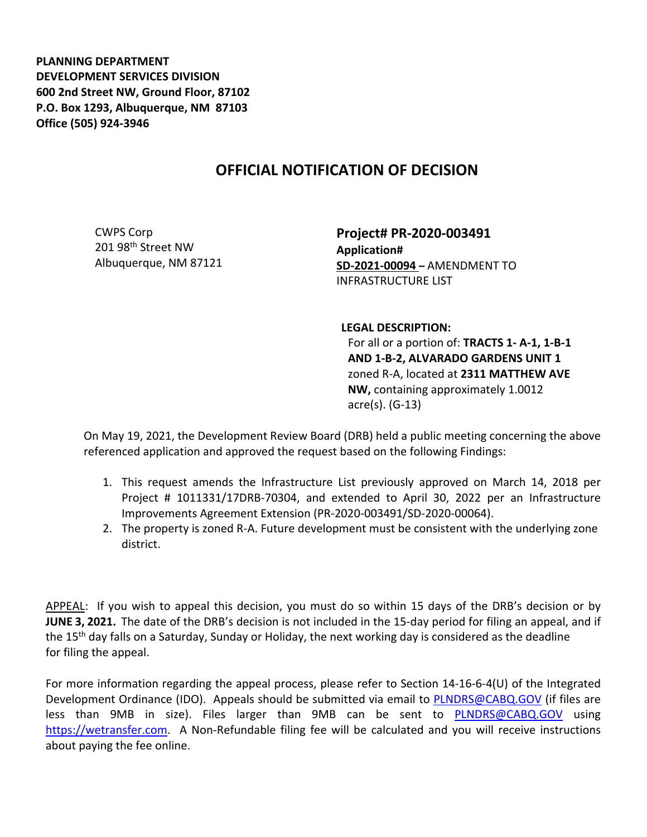**PLANNING DEPARTMENT DEVELOPMENT SERVICES DIVISION 600 2nd Street NW, Ground Floor, 87102 P.O. Box 1293, Albuquerque, NM 87103 Office (505) 924-3946** 

## **OFFICIAL NOTIFICATION OF DECISION**

CWPS Corp 201 98th Street NW Albuquerque, NM 87121 **Project# PR-2020-003491 Application# SD-2021-00094 –** AMENDMENT TO INFRASTRUCTURE LIST

## **LEGAL DESCRIPTION:**

For all or a portion of: **TRACTS 1- A-1, 1-B-1 AND 1-B-2, ALVARADO GARDENS UNIT 1**  zoned R-A, located at **2311 MATTHEW AVE NW,** containing approximately 1.0012 acre(s). (G-13)

On May 19, 2021, the Development Review Board (DRB) held a public meeting concerning the above referenced application and approved the request based on the following Findings:

- 1. This request amends the Infrastructure List previously approved on March 14, 2018 per Project # 1011331/17DRB-70304, and extended to April 30, 2022 per an Infrastructure Improvements Agreement Extension (PR-2020-003491/SD-2020-00064).
- 2. The property is zoned R-A. Future development must be consistent with the underlying zone district.

APPEAL: If you wish to appeal this decision, you must do so within 15 days of the DRB's decision or by **JUNE 3, 2021.** The date of the DRB's decision is not included in the 15-day period for filing an appeal, and if the 15<sup>th</sup> day falls on a Saturday, Sunday or Holiday, the next working day is considered as the deadline for filing the appeal.

For more information regarding the appeal process, please refer to Section 14-16-6-4(U) of the Integrated Development Ordinance (IDO). Appeals should be submitted via email to [PLNDRS@CABQ.GOV](mailto:PLNDRS@CABQ.GOV) (if files are less than 9MB in size). Files larger than 9MB can be sent to **[PLNDRS@CABQ.GOV](mailto:PLNDRS@CABQ.GOV)** using [https://wetransfer.com.](https://wetransfer.com/) A Non-Refundable filing fee will be calculated and you will receive instructions about paying the fee online.